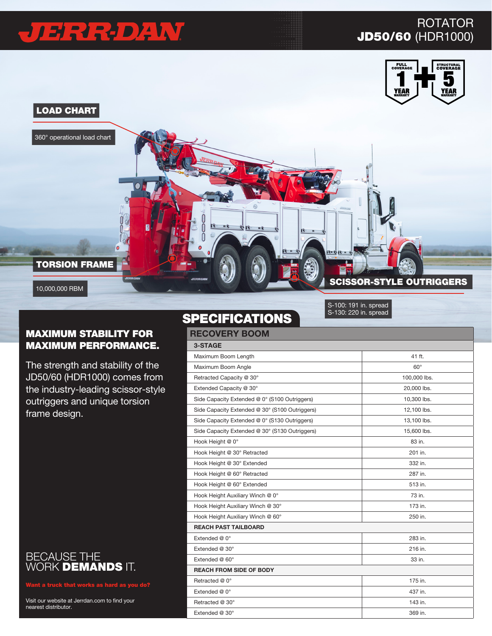# JIE RRPDAW

#### ROTATOR JD50/60 (HDR1000)





#### MAXIMUM STABILITY FOR MAXIMUM PERFORMANCE.

The strength and stability of the JD50/60 (HDR1000) comes from the industry-leading scissor-style outriggers and unique torsion frame design.



Visit our website at Jerrdan.com to find your nearest distributor.

#### **SPECIFICATIONS**

| <b>RECOVERY BOOM</b>                           |              |  |
|------------------------------------------------|--------------|--|
| 3-STAGE                                        |              |  |
| Maximum Boom Length                            | 41 ft.       |  |
| Maximum Boom Angle                             | $60^\circ$   |  |
| Retracted Capacity @ 30°                       | 100,000 lbs. |  |
| Extended Capacity @ 30°                        | 20,000 lbs.  |  |
| Side Capacity Extended @ 0° (S100 Outriggers)  | 10,300 lbs.  |  |
| Side Capacity Extended @ 30° (S100 Outriggers) | 12,100 lbs.  |  |
| Side Capacity Extended @ 0° (S130 Outriggers)  | 13,100 lbs.  |  |
| Side Capacity Extended @ 30° (S130 Outriggers) | 15,600 lbs.  |  |
| Hook Height @ 0°                               | 83 in.       |  |
| Hook Height @ 30° Retracted                    | 201 in.      |  |
| Hook Height @ 30° Extended                     | 332 in.      |  |
| Hook Height @ 60° Retracted                    | 287 in.      |  |
| Hook Height @ 60° Extended                     | 513 in.      |  |
| Hook Height Auxiliary Winch @ 0°               | 73 in.       |  |
| Hook Height Auxiliary Winch @ 30°              | 173 in.      |  |
| Hook Height Auxiliary Winch @ 60°              | 250 in.      |  |
| <b>REACH PAST TAILBOARD</b>                    |              |  |
| Extended @ 0°                                  | 283 in.      |  |
| Extended @ 30°                                 | 216 in.      |  |
| Extended @ 60°                                 | 33 in.       |  |
| <b>REACH FROM SIDE OF BODY</b>                 |              |  |
| Retracted @ 0°                                 | 175 in.      |  |
| Extended @ 0°                                  | 437 in.      |  |
| Retracted @ 30°                                | 143 in.      |  |
| Extended @ 30°                                 | 369 in.      |  |

S-130: 220 in. spread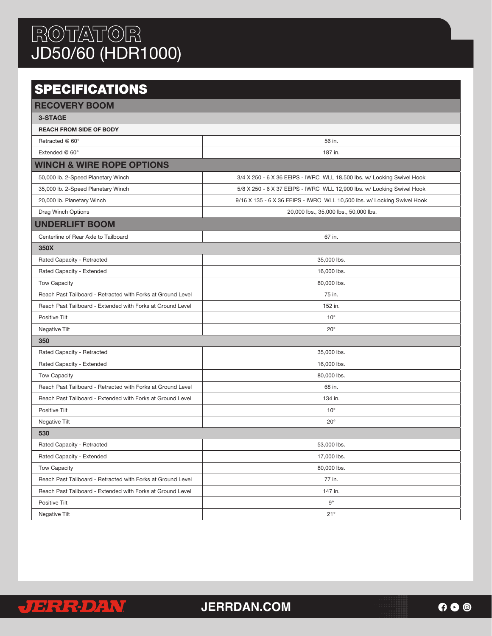## ROTATOR JD50/60 (HDR1000)

### **SPECIFICATIONS**

| <b>RECOVERY BOOM</b>                                        |                                                                         |  |  |  |
|-------------------------------------------------------------|-------------------------------------------------------------------------|--|--|--|
| 3-STAGE                                                     |                                                                         |  |  |  |
| <b>REACH FROM SIDE OF BODY</b>                              |                                                                         |  |  |  |
| Retracted @ 60°                                             | 56 in.                                                                  |  |  |  |
| Extended @ 60°                                              | 187 in.                                                                 |  |  |  |
| <b>WINCH &amp; WIRE ROPE OPTIONS</b>                        |                                                                         |  |  |  |
| 50,000 lb. 2-Speed Planetary Winch                          | 3/4 X 250 - 6 X 36 EEIPS - IWRC WLL 18,500 lbs. w/ Locking Swivel Hook  |  |  |  |
| 35,000 lb. 2-Speed Planetary Winch                          | 5/8 X 250 - 6 X 37 EEIPS - IWRC WLL 12,900 lbs. w/ Locking Swivel Hook  |  |  |  |
| 20,000 lb. Planetary Winch                                  | 9/16 X 135 - 6 X 36 EEIPS - IWRC WLL 10,500 lbs. w/ Locking Swivel Hook |  |  |  |
| Drag Winch Options                                          | 20,000 lbs., 35,000 lbs., 50,000 lbs.                                   |  |  |  |
| <b>UNDERLIFT BOOM</b>                                       |                                                                         |  |  |  |
| Centerline of Rear Axle to Tailboard                        | 67 in.                                                                  |  |  |  |
| 350X                                                        |                                                                         |  |  |  |
| Rated Capacity - Retracted                                  | 35,000 lbs.                                                             |  |  |  |
| Rated Capacity - Extended                                   | 16,000 lbs.                                                             |  |  |  |
| <b>Tow Capacity</b>                                         | 80,000 lbs.                                                             |  |  |  |
| Reach Past Tailboard - Retracted with Forks at Ground Level | 75 in.                                                                  |  |  |  |
| Reach Past Tailboard - Extended with Forks at Ground Level  | 152 in.                                                                 |  |  |  |
| Positive Tilt                                               | $10^{\circ}$                                                            |  |  |  |
| Negative Tilt                                               | $20^{\circ}$                                                            |  |  |  |
| 350                                                         |                                                                         |  |  |  |
| Rated Capacity - Retracted                                  | 35,000 lbs.                                                             |  |  |  |
| Rated Capacity - Extended                                   | 16,000 lbs.                                                             |  |  |  |
| <b>Tow Capacity</b>                                         | 80,000 lbs.                                                             |  |  |  |
| Reach Past Tailboard - Retracted with Forks at Ground Level | 68 in.                                                                  |  |  |  |
| Reach Past Tailboard - Extended with Forks at Ground Level  | 134 in.                                                                 |  |  |  |
| Positive Tilt                                               | $10^{\circ}$                                                            |  |  |  |
| Negative Tilt                                               | $20^{\circ}$                                                            |  |  |  |
| 530                                                         |                                                                         |  |  |  |
| Rated Capacity - Retracted                                  | 53,000 lbs.                                                             |  |  |  |
| Rated Capacity - Extended                                   | 17,000 lbs.                                                             |  |  |  |
| <b>Tow Capacity</b>                                         | 80,000 lbs.                                                             |  |  |  |
| Reach Past Tailboard - Retracted with Forks at Ground Level | 77 in.                                                                  |  |  |  |
| Reach Past Tailboard - Extended with Forks at Ground Level  | 147 in.                                                                 |  |  |  |
| Positive Tilt                                               | $9^{\circ}$                                                             |  |  |  |
| Negative Tilt                                               | 21°                                                                     |  |  |  |



**JERRDAN.COM**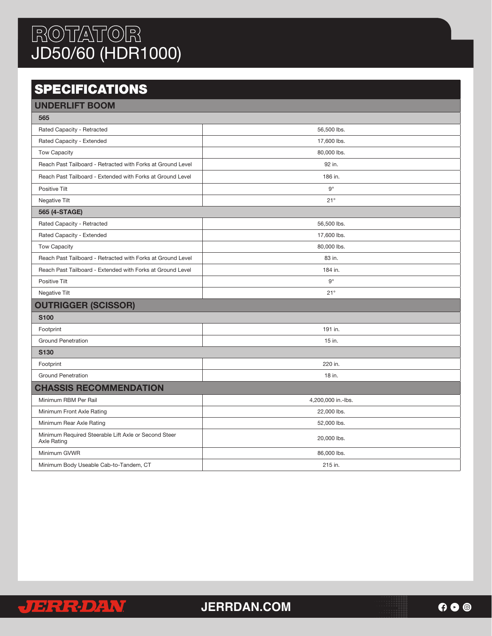## ROTATOR JD50/60 (HDR1000)

## **SPECIFICATIONS**

| <b>UNDERLIFT BOOM</b>                                                      |                    |  |  |  |
|----------------------------------------------------------------------------|--------------------|--|--|--|
| 565                                                                        |                    |  |  |  |
| Rated Capacity - Retracted                                                 | 56,500 lbs.        |  |  |  |
| Rated Capacity - Extended                                                  | 17,600 lbs.        |  |  |  |
| Tow Capacity                                                               | 80,000 lbs.        |  |  |  |
| Reach Past Tailboard - Retracted with Forks at Ground Level                | 92 in.             |  |  |  |
| Reach Past Tailboard - Extended with Forks at Ground Level                 | 186 in.            |  |  |  |
| Positive Tilt                                                              | $9^{\circ}$        |  |  |  |
| Negative Tilt                                                              | 21°                |  |  |  |
| 565 (4-STAGE)                                                              |                    |  |  |  |
| Rated Capacity - Retracted                                                 | 56,500 lbs.        |  |  |  |
| Rated Capacity - Extended                                                  | 17,600 lbs.        |  |  |  |
| Tow Capacity                                                               | 80,000 lbs.        |  |  |  |
| Reach Past Tailboard - Retracted with Forks at Ground Level                | 83 in.             |  |  |  |
| Reach Past Tailboard - Extended with Forks at Ground Level                 | 184 in.            |  |  |  |
| Positive Tilt                                                              | $9^{\circ}$        |  |  |  |
| Negative Tilt                                                              | $21^{\circ}$       |  |  |  |
| <b>OUTRIGGER (SCISSOR)</b>                                                 |                    |  |  |  |
| <b>S100</b>                                                                |                    |  |  |  |
| Footprint                                                                  | 191 in.            |  |  |  |
| <b>Ground Penetration</b>                                                  | 15 in.             |  |  |  |
| <b>S130</b>                                                                |                    |  |  |  |
| Footprint                                                                  | 220 in.            |  |  |  |
| <b>Ground Penetration</b>                                                  | 18 in.             |  |  |  |
| <b>CHASSIS RECOMMENDATION</b>                                              |                    |  |  |  |
| Minimum RBM Per Rail                                                       | 4,200,000 in.-lbs. |  |  |  |
| Minimum Front Axle Rating                                                  | 22,000 lbs.        |  |  |  |
| Minimum Rear Axle Rating                                                   | 52,000 lbs.        |  |  |  |
| Minimum Required Steerable Lift Axle or Second Steer<br><b>Axle Rating</b> | 20,000 lbs.        |  |  |  |
| Minimum GVWR                                                               | 86,000 lbs.        |  |  |  |
| Minimum Body Useable Cab-to-Tandem, CT                                     | 215 in.            |  |  |  |



**JERRDAN.COM**